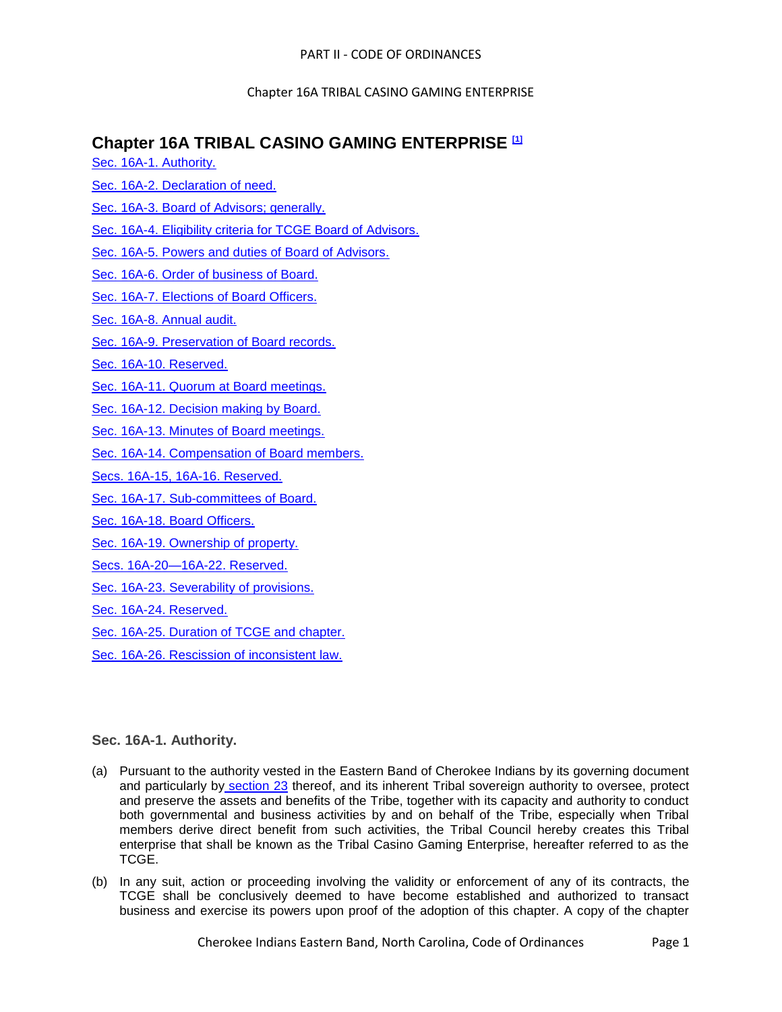# **Chapter 16A TRIBAL CASINO GAMING ENTERPRISE [1]**

- [Sec. 16A-1. Authority.](#page-0-0)
- [Sec. 16A-2. Declaration of need.](#page-1-0)
- [Sec. 16A-3. Board of Advisors; generally.](#page-1-1)
- [Sec. 16A-4. Eligibility criteria for TCGE Board of Advisors.](#page-2-0)
- [Sec. 16A-5. Powers and duties of Board of Advisors.](#page-3-0)

[Sec. 16A-6. Order of business of Board.](#page-7-0)

[Sec. 16A-7. Elections](#page-8-0) of Board Officers.

[Sec. 16A-8. Annual audit.](#page-8-1)

- [Sec. 16A-9. Preservation of Board records.](#page-8-2)
- [Sec. 16A-10. Reserved.](#page-8-3)
- [Sec. 16A-11. Quorum at Board meetings.](#page-8-4)
- [Sec. 16A-12. Decision making by Board.](#page-8-5)
- [Sec. 16A-13. Minutes of Board meetings.](#page-8-6)
- [Sec. 16A-14. Compensation of Board members.](#page-9-0)
- [Secs. 16A-15, 16A-16. Reserved.](#page-9-1)
- [Sec. 16A-17. Sub-committees of Board.](#page-9-2)
- [Sec. 16A-18. Board Officers.](#page-9-3)
- [Sec. 16A-19. Ownership of property.](#page-10-0)
- [Secs. 16A-20—16A-22. Reserved.](#page-10-1)
- [Sec. 16A-23. Severability of provisions.](#page-10-2)
- [Sec. 16A-24. Reserved.](#page-10-3)
- [Sec. 16A-25. Duration of TCGE and chapter.](#page-10-4)
- [Sec. 16A-26. Rescission of inconsistent law.](#page-11-0)

# <span id="page-0-0"></span>**Sec. 16A-1. Authority.**

- (a) Pursuant to the authority vested in the Eastern Band of Cherokee Indians by its governing document and particularly by [section 23](../level3/PTIICOOR_CH15CRPR_APXATHCHRUCRPR.docx#PTIICOOR_CH15CRPR_APXATHCHRUCRPR_RULE_23SESE) thereof, and its inherent Tribal sovereign authority to oversee, protect and preserve the assets and benefits of the Tribe, together with its capacity and authority to conduct both governmental and business activities by and on behalf of the Tribe, especially when Tribal members derive direct benefit from such activities, the Tribal Council hereby creates this Tribal enterprise that shall be known as the Tribal Casino Gaming Enterprise, hereafter referred to as the TCGE.
- (b) In any suit, action or proceeding involving the validity or enforcement of any of its contracts, the TCGE shall be conclusively deemed to have become established and authorized to transact business and exercise its powers upon proof of the adoption of this chapter. A copy of the chapter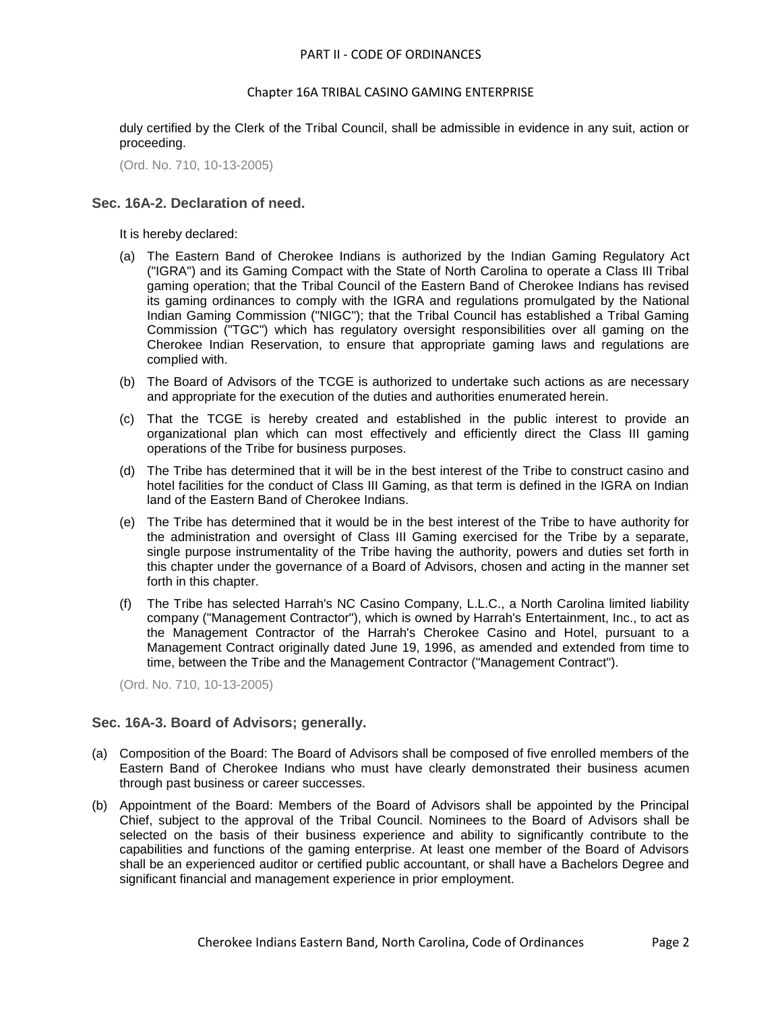duly certified by the Clerk of the Tribal Council, shall be admissible in evidence in any suit, action or proceeding.

(Ord. No. 710, 10-13-2005)

# <span id="page-1-0"></span>**Sec. 16A-2. Declaration of need.**

It is hereby declared:

- (a) The Eastern Band of Cherokee Indians is authorized by the Indian Gaming Regulatory Act ("IGRA") and its Gaming Compact with the State of North Carolina to operate a Class III Tribal gaming operation; that the Tribal Council of the Eastern Band of Cherokee Indians has revised its gaming ordinances to comply with the IGRA and regulations promulgated by the National Indian Gaming Commission ("NIGC"); that the Tribal Council has established a Tribal Gaming Commission ("TGC") which has regulatory oversight responsibilities over all gaming on the Cherokee Indian Reservation, to ensure that appropriate gaming laws and regulations are complied with.
- (b) The Board of Advisors of the TCGE is authorized to undertake such actions as are necessary and appropriate for the execution of the duties and authorities enumerated herein.
- (c) That the TCGE is hereby created and established in the public interest to provide an organizational plan which can most effectively and efficiently direct the Class III gaming operations of the Tribe for business purposes.
- (d) The Tribe has determined that it will be in the best interest of the Tribe to construct casino and hotel facilities for the conduct of Class III Gaming, as that term is defined in the IGRA on Indian land of the Eastern Band of Cherokee Indians.
- (e) The Tribe has determined that it would be in the best interest of the Tribe to have authority for the administration and oversight of Class III Gaming exercised for the Tribe by a separate, single purpose instrumentality of the Tribe having the authority, powers and duties set forth in this chapter under the governance of a Board of Advisors, chosen and acting in the manner set forth in this chapter.
- (f) The Tribe has selected Harrah's NC Casino Company, L.L.C., a North Carolina limited liability company ("Management Contractor"), which is owned by Harrah's Entertainment, Inc., to act as the Management Contractor of the Harrah's Cherokee Casino and Hotel, pursuant to a Management Contract originally dated June 19, 1996, as amended and extended from time to time, between the Tribe and the Management Contractor ("Management Contract").

(Ord. No. 710, 10-13-2005)

# <span id="page-1-1"></span>**Sec. 16A-3. Board of Advisors; generally.**

- (a) Composition of the Board: The Board of Advisors shall be composed of five enrolled members of the Eastern Band of Cherokee Indians who must have clearly demonstrated their business acumen through past business or career successes.
- (b) Appointment of the Board: Members of the Board of Advisors shall be appointed by the Principal Chief, subject to the approval of the Tribal Council. Nominees to the Board of Advisors shall be selected on the basis of their business experience and ability to significantly contribute to the capabilities and functions of the gaming enterprise. At least one member of the Board of Advisors shall be an experienced auditor or certified public accountant, or shall have a Bachelors Degree and significant financial and management experience in prior employment.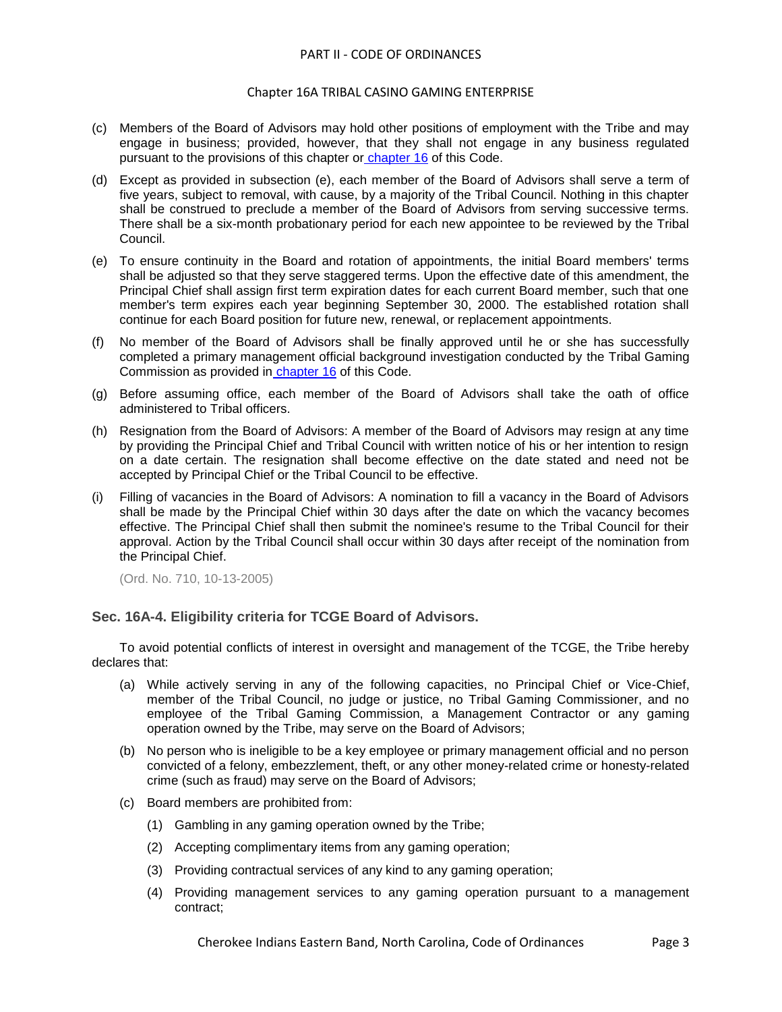#### Chapter 16A TRIBAL CASINO GAMING ENTERPRISE

- (c) Members of the Board of Advisors may hold other positions of employment with the Tribe and may engage in business; provided, however, that they shall not engage in any business regulated pursuant to the provisions of this chapter or [chapter 16](../level2/PTIICOOR_CH16TRGA.docx#PTIICOOR_CH16TRGA) of this Code.
- (d) Except as provided in subsection (e), each member of the Board of Advisors shall serve a term of five years, subject to removal, with cause, by a majority of the Tribal Council. Nothing in this chapter shall be construed to preclude a member of the Board of Advisors from serving successive terms. There shall be a six-month probationary period for each new appointee to be reviewed by the Tribal Council.
- (e) To ensure continuity in the Board and rotation of appointments, the initial Board members' terms shall be adjusted so that they serve staggered terms. Upon the effective date of this amendment, the Principal Chief shall assign first term expiration dates for each current Board member, such that one member's term expires each year beginning September 30, 2000. The established rotation shall continue for each Board position for future new, renewal, or replacement appointments.
- (f) No member of the Board of Advisors shall be finally approved until he or she has successfully completed a primary management official background investigation conducted by the Tribal Gaming Commission as provided in [chapter 16](../level2/PTIICOOR_CH16TRGA.docx#PTIICOOR_CH16TRGA) of this Code.
- (g) Before assuming office, each member of the Board of Advisors shall take the oath of office administered to Tribal officers.
- (h) Resignation from the Board of Advisors: A member of the Board of Advisors may resign at any time by providing the Principal Chief and Tribal Council with written notice of his or her intention to resign on a date certain. The resignation shall become effective on the date stated and need not be accepted by Principal Chief or the Tribal Council to be effective.
- (i) Filling of vacancies in the Board of Advisors: A nomination to fill a vacancy in the Board of Advisors shall be made by the Principal Chief within 30 days after the date on which the vacancy becomes effective. The Principal Chief shall then submit the nominee's resume to the Tribal Council for their approval. Action by the Tribal Council shall occur within 30 days after receipt of the nomination from the Principal Chief.

(Ord. No. 710, 10-13-2005)

# <span id="page-2-0"></span>**Sec. 16A-4. Eligibility criteria for TCGE Board of Advisors.**

To avoid potential conflicts of interest in oversight and management of the TCGE, the Tribe hereby declares that:

- (a) While actively serving in any of the following capacities, no Principal Chief or Vice-Chief, member of the Tribal Council, no judge or justice, no Tribal Gaming Commissioner, and no employee of the Tribal Gaming Commission, a Management Contractor or any gaming operation owned by the Tribe, may serve on the Board of Advisors;
- (b) No person who is ineligible to be a key employee or primary management official and no person convicted of a felony, embezzlement, theft, or any other money-related crime or honesty-related crime (such as fraud) may serve on the Board of Advisors;
- (c) Board members are prohibited from:
	- (1) Gambling in any gaming operation owned by the Tribe;
	- (2) Accepting complimentary items from any gaming operation;
	- (3) Providing contractual services of any kind to any gaming operation;
	- (4) Providing management services to any gaming operation pursuant to a management contract;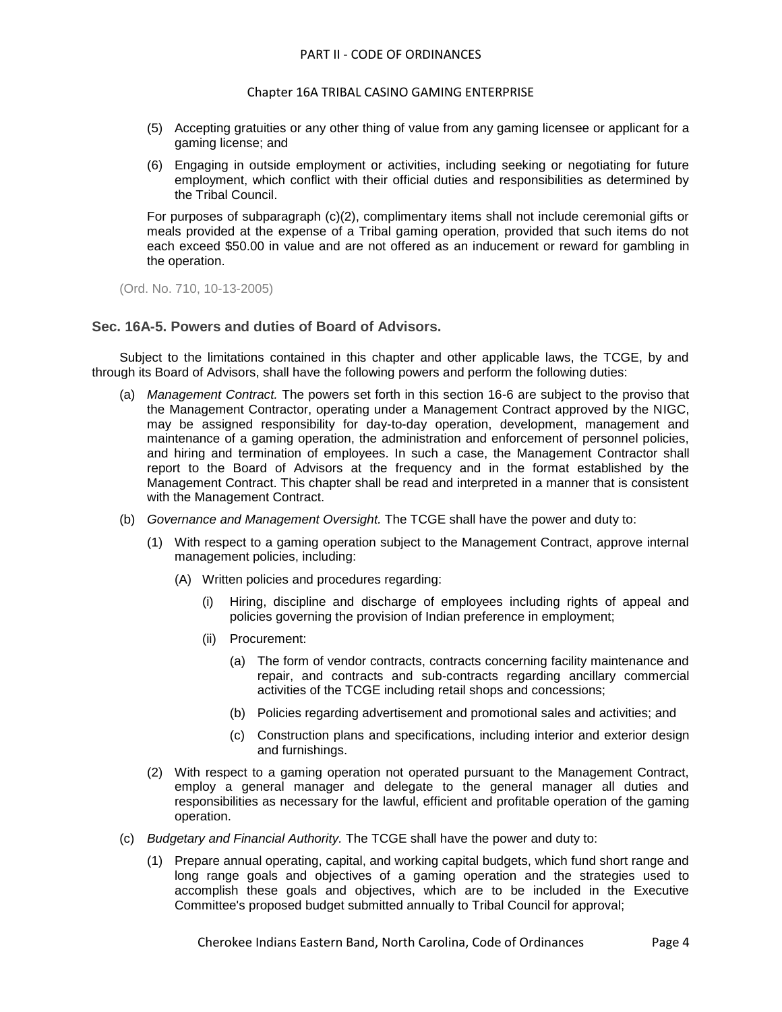- (5) Accepting gratuities or any other thing of value from any gaming licensee or applicant for a gaming license; and
- (6) Engaging in outside employment or activities, including seeking or negotiating for future employment, which conflict with their official duties and responsibilities as determined by the Tribal Council.

For purposes of subparagraph (c)(2), complimentary items shall not include ceremonial gifts or meals provided at the expense of a Tribal gaming operation, provided that such items do not each exceed \$50.00 in value and are not offered as an inducement or reward for gambling in the operation.

(Ord. No. 710, 10-13-2005)

# <span id="page-3-0"></span>**Sec. 16A-5. Powers and duties of Board of Advisors.**

Subject to the limitations contained in this chapter and other applicable laws, the TCGE, by and through its Board of Advisors, shall have the following powers and perform the following duties:

- (a) *Management Contract.* The powers set forth in this section 16-6 are subject to the proviso that the Management Contractor, operating under a Management Contract approved by the NIGC, may be assigned responsibility for day-to-day operation, development, management and maintenance of a gaming operation, the administration and enforcement of personnel policies, and hiring and termination of employees. In such a case, the Management Contractor shall report to the Board of Advisors at the frequency and in the format established by the Management Contract. This chapter shall be read and interpreted in a manner that is consistent with the Management Contract.
- (b) *Governance and Management Oversight.* The TCGE shall have the power and duty to:
	- (1) With respect to a gaming operation subject to the Management Contract, approve internal management policies, including:
		- (A) Written policies and procedures regarding:
			- (i) Hiring, discipline and discharge of employees including rights of appeal and policies governing the provision of Indian preference in employment;
			- (ii) Procurement:
				- (a) The form of vendor contracts, contracts concerning facility maintenance and repair, and contracts and sub-contracts regarding ancillary commercial activities of the TCGE including retail shops and concessions;
				- (b) Policies regarding advertisement and promotional sales and activities; and
				- (c) Construction plans and specifications, including interior and exterior design and furnishings.
	- (2) With respect to a gaming operation not operated pursuant to the Management Contract, employ a general manager and delegate to the general manager all duties and responsibilities as necessary for the lawful, efficient and profitable operation of the gaming operation.
- (c) *Budgetary and Financial Authority.* The TCGE shall have the power and duty to:
	- (1) Prepare annual operating, capital, and working capital budgets, which fund short range and long range goals and objectives of a gaming operation and the strategies used to accomplish these goals and objectives, which are to be included in the Executive Committee's proposed budget submitted annually to Tribal Council for approval;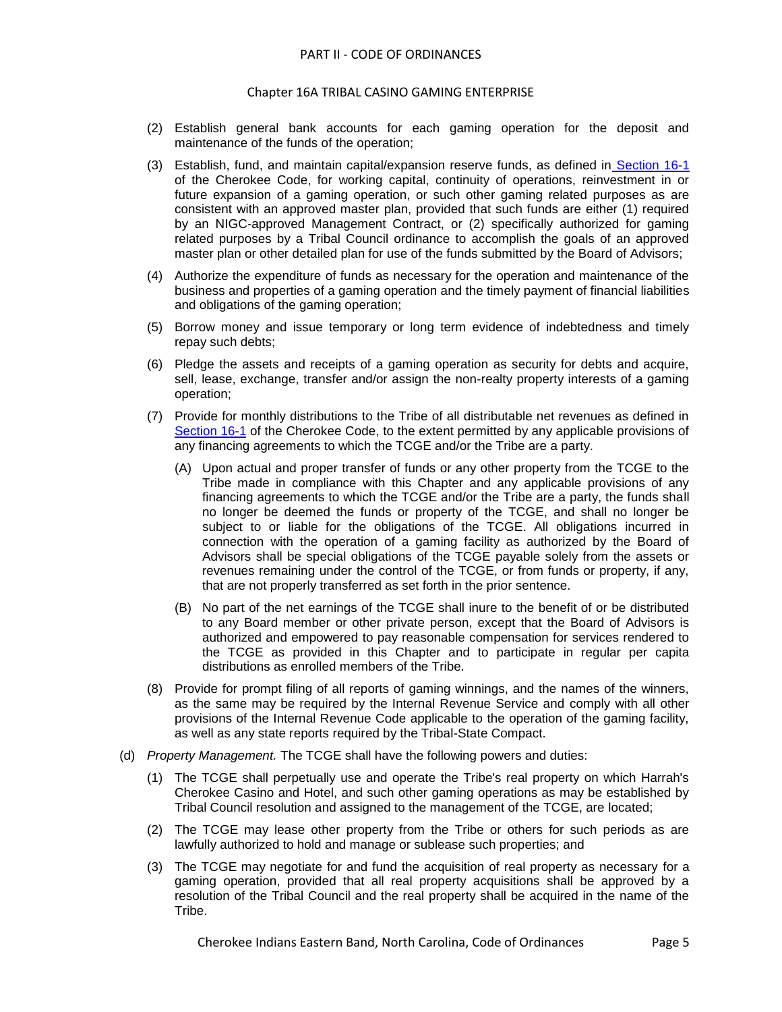- (2) Establish general bank accounts for each gaming operation for the deposit and maintenance of the funds of the operation;
- (3) Establish, fund, and maintain capital/expansion reserve funds, as defined in [Section 16-1](../level3/PTIICOOR_CH16TRGA_ARTIINGE.docx#PTIICOOR_CH16TRGA_ARTIINGE_S16-1DE) of the Cherokee Code, for working capital, continuity of operations, reinvestment in or future expansion of a gaming operation, or such other gaming related purposes as are consistent with an approved master plan, provided that such funds are either (1) required by an NIGC-approved Management Contract, or (2) specifically authorized for gaming related purposes by a Tribal Council ordinance to accomplish the goals of an approved master plan or other detailed plan for use of the funds submitted by the Board of Advisors;
- (4) Authorize the expenditure of funds as necessary for the operation and maintenance of the business and properties of a gaming operation and the timely payment of financial liabilities and obligations of the gaming operation;
- (5) Borrow money and issue temporary or long term evidence of indebtedness and timely repay such debts;
- (6) Pledge the assets and receipts of a gaming operation as security for debts and acquire, sell, lease, exchange, transfer and/or assign the non-realty property interests of a gaming operation;
- (7) Provide for monthly distributions to the Tribe of all distributable net revenues as defined i[n](../level3/PTIICOOR_CH16TRGA_ARTIINGE.docx#PTIICOOR_CH16TRGA_ARTIINGE_S16-1DE) [Section 16-1](../level3/PTIICOOR_CH16TRGA_ARTIINGE.docx#PTIICOOR_CH16TRGA_ARTIINGE_S16-1DE) of the Cherokee Code, to the extent permitted by any applicable provisions of any financing agreements to which the TCGE and/or the Tribe are a party.
	- (A) Upon actual and proper transfer of funds or any other property from the TCGE to the Tribe made in compliance with this Chapter and any applicable provisions of any financing agreements to which the TCGE and/or the Tribe are a party, the funds shall no longer be deemed the funds or property of the TCGE, and shall no longer be subject to or liable for the obligations of the TCGE. All obligations incurred in connection with the operation of a gaming facility as authorized by the Board of Advisors shall be special obligations of the TCGE payable solely from the assets or revenues remaining under the control of the TCGE, or from funds or property, if any, that are not properly transferred as set forth in the prior sentence.
	- (B) No part of the net earnings of the TCGE shall inure to the benefit of or be distributed to any Board member or other private person, except that the Board of Advisors is authorized and empowered to pay reasonable compensation for services rendered to the TCGE as provided in this Chapter and to participate in regular per capita distributions as enrolled members of the Tribe.
- (8) Provide for prompt filing of all reports of gaming winnings, and the names of the winners, as the same may be required by the Internal Revenue Service and comply with all other provisions of the Internal Revenue Code applicable to the operation of the gaming facility, as well as any state reports required by the Tribal-State Compact.
- (d) *Property Management.* The TCGE shall have the following powers and duties:
	- (1) The TCGE shall perpetually use and operate the Tribe's real property on which Harrah's Cherokee Casino and Hotel, and such other gaming operations as may be established by Tribal Council resolution and assigned to the management of the TCGE, are located;
	- (2) The TCGE may lease other property from the Tribe or others for such periods as are lawfully authorized to hold and manage or sublease such properties; and
	- (3) The TCGE may negotiate for and fund the acquisition of real property as necessary for a gaming operation, provided that all real property acquisitions shall be approved by a resolution of the Tribal Council and the real property shall be acquired in the name of the Tribe.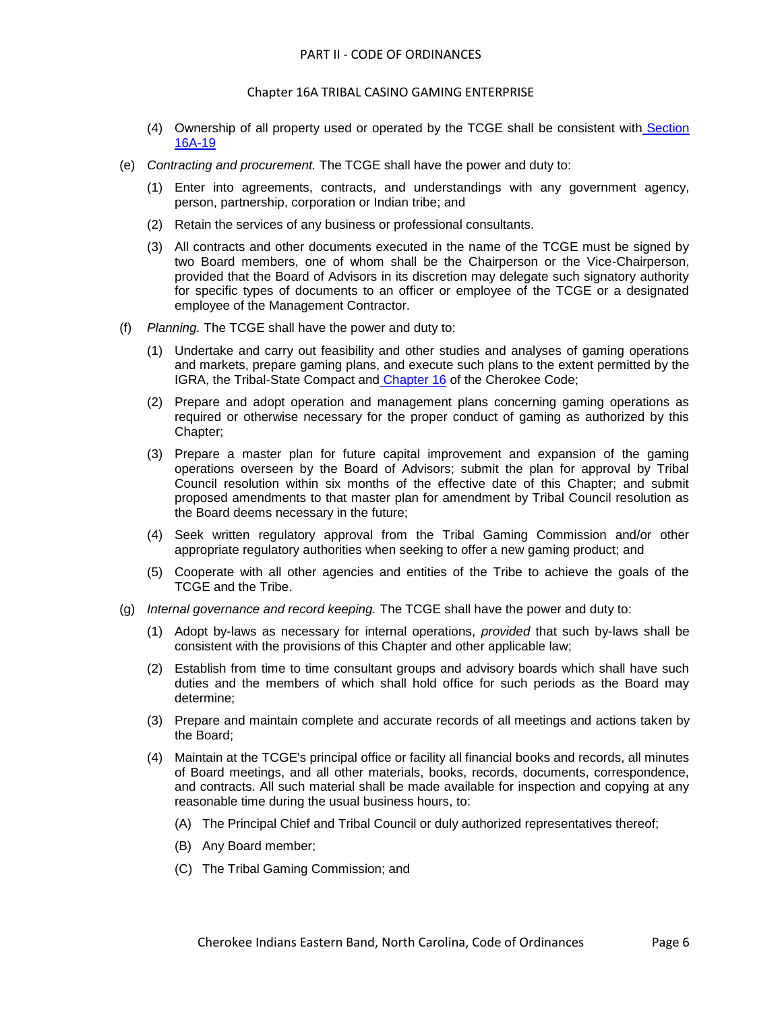- (4) Ownership of all property used or operated by the TCGE shall be consistent with [Section](../level2/PTIICOOR_CH16ATRCAGAEN.docx#PTIICOOR_CH16ATRCAGAEN_S16A-19OWPR)  [16A-19](../level2/PTIICOOR_CH16ATRCAGAEN.docx#PTIICOOR_CH16ATRCAGAEN_S16A-19OWPR)
- (e) *Contracting and procurement.* The TCGE shall have the power and duty to:
	- (1) Enter into agreements, contracts, and understandings with any government agency, person, partnership, corporation or Indian tribe; and
	- (2) Retain the services of any business or professional consultants.
	- (3) All contracts and other documents executed in the name of the TCGE must be signed by two Board members, one of whom shall be the Chairperson or the Vice-Chairperson, provided that the Board of Advisors in its discretion may delegate such signatory authority for specific types of documents to an officer or employee of the TCGE or a designated employee of the Management Contractor.
- (f) *Planning.* The TCGE shall have the power and duty to:
	- (1) Undertake and carry out feasibility and other studies and analyses of gaming operations and markets, prepare gaming plans, and execute such plans to the extent permitted by the IGRA, the Tribal-State Compact and [Chapter 16](../level2/PTIICOOR_CH16TRGA.docx#PTIICOOR_CH16TRGA) of the Cherokee Code;
	- (2) Prepare and adopt operation and management plans concerning gaming operations as required or otherwise necessary for the proper conduct of gaming as authorized by this Chapter;
	- (3) Prepare a master plan for future capital improvement and expansion of the gaming operations overseen by the Board of Advisors; submit the plan for approval by Tribal Council resolution within six months of the effective date of this Chapter; and submit proposed amendments to that master plan for amendment by Tribal Council resolution as the Board deems necessary in the future;
	- (4) Seek written regulatory approval from the Tribal Gaming Commission and/or other appropriate regulatory authorities when seeking to offer a new gaming product; and
	- (5) Cooperate with all other agencies and entities of the Tribe to achieve the goals of the TCGE and the Tribe.
- (g) *Internal governance and record keeping.* The TCGE shall have the power and duty to:
	- (1) Adopt by-laws as necessary for internal operations, *provided* that such by-laws shall be consistent with the provisions of this Chapter and other applicable law;
	- (2) Establish from time to time consultant groups and advisory boards which shall have such duties and the members of which shall hold office for such periods as the Board may determine;
	- (3) Prepare and maintain complete and accurate records of all meetings and actions taken by the Board;
	- (4) Maintain at the TCGE's principal office or facility all financial books and records, all minutes of Board meetings, and all other materials, books, records, documents, correspondence, and contracts. All such material shall be made available for inspection and copying at any reasonable time during the usual business hours, to:
		- (A) The Principal Chief and Tribal Council or duly authorized representatives thereof;
		- (B) Any Board member;
		- (C) The Tribal Gaming Commission; and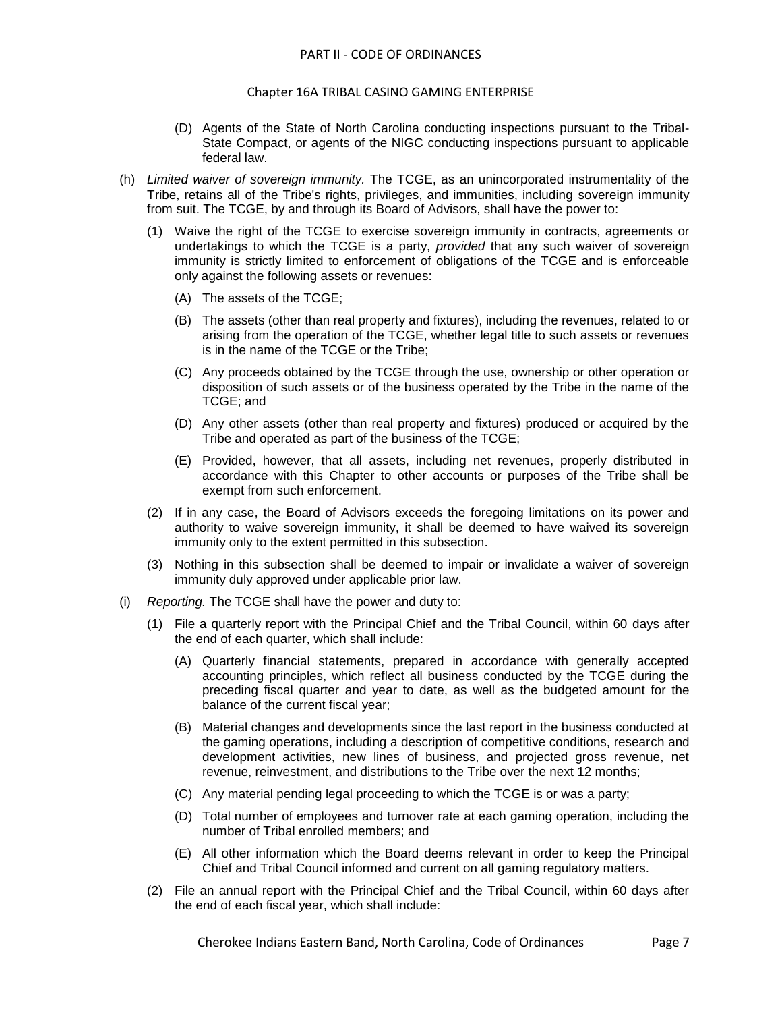#### Chapter 16A TRIBAL CASINO GAMING ENTERPRISE

- (D) Agents of the State of North Carolina conducting inspections pursuant to the Tribal-State Compact, or agents of the NIGC conducting inspections pursuant to applicable federal law.
- (h) *Limited waiver of sovereign immunity.* The TCGE, as an unincorporated instrumentality of the Tribe, retains all of the Tribe's rights, privileges, and immunities, including sovereign immunity from suit. The TCGE, by and through its Board of Advisors, shall have the power to:
	- (1) Waive the right of the TCGE to exercise sovereign immunity in contracts, agreements or undertakings to which the TCGE is a party, *provided* that any such waiver of sovereign immunity is strictly limited to enforcement of obligations of the TCGE and is enforceable only against the following assets or revenues:
		- (A) The assets of the TCGE;
		- (B) The assets (other than real property and fixtures), including the revenues, related to or arising from the operation of the TCGE, whether legal title to such assets or revenues is in the name of the TCGE or the Tribe;
		- (C) Any proceeds obtained by the TCGE through the use, ownership or other operation or disposition of such assets or of the business operated by the Tribe in the name of the TCGE; and
		- (D) Any other assets (other than real property and fixtures) produced or acquired by the Tribe and operated as part of the business of the TCGE;
		- (E) Provided, however, that all assets, including net revenues, properly distributed in accordance with this Chapter to other accounts or purposes of the Tribe shall be exempt from such enforcement.
	- (2) If in any case, the Board of Advisors exceeds the foregoing limitations on its power and authority to waive sovereign immunity, it shall be deemed to have waived its sovereign immunity only to the extent permitted in this subsection.
	- (3) Nothing in this subsection shall be deemed to impair or invalidate a waiver of sovereign immunity duly approved under applicable prior law.
- (i) *Reporting.* The TCGE shall have the power and duty to:
	- (1) File a quarterly report with the Principal Chief and the Tribal Council, within 60 days after the end of each quarter, which shall include:
		- (A) Quarterly financial statements, prepared in accordance with generally accepted accounting principles, which reflect all business conducted by the TCGE during the preceding fiscal quarter and year to date, as well as the budgeted amount for the balance of the current fiscal year;
		- (B) Material changes and developments since the last report in the business conducted at the gaming operations, including a description of competitive conditions, research and development activities, new lines of business, and projected gross revenue, net revenue, reinvestment, and distributions to the Tribe over the next 12 months;
		- (C) Any material pending legal proceeding to which the TCGE is or was a party;
		- (D) Total number of employees and turnover rate at each gaming operation, including the number of Tribal enrolled members; and
		- (E) All other information which the Board deems relevant in order to keep the Principal Chief and Tribal Council informed and current on all gaming regulatory matters.
	- (2) File an annual report with the Principal Chief and the Tribal Council, within 60 days after the end of each fiscal year, which shall include: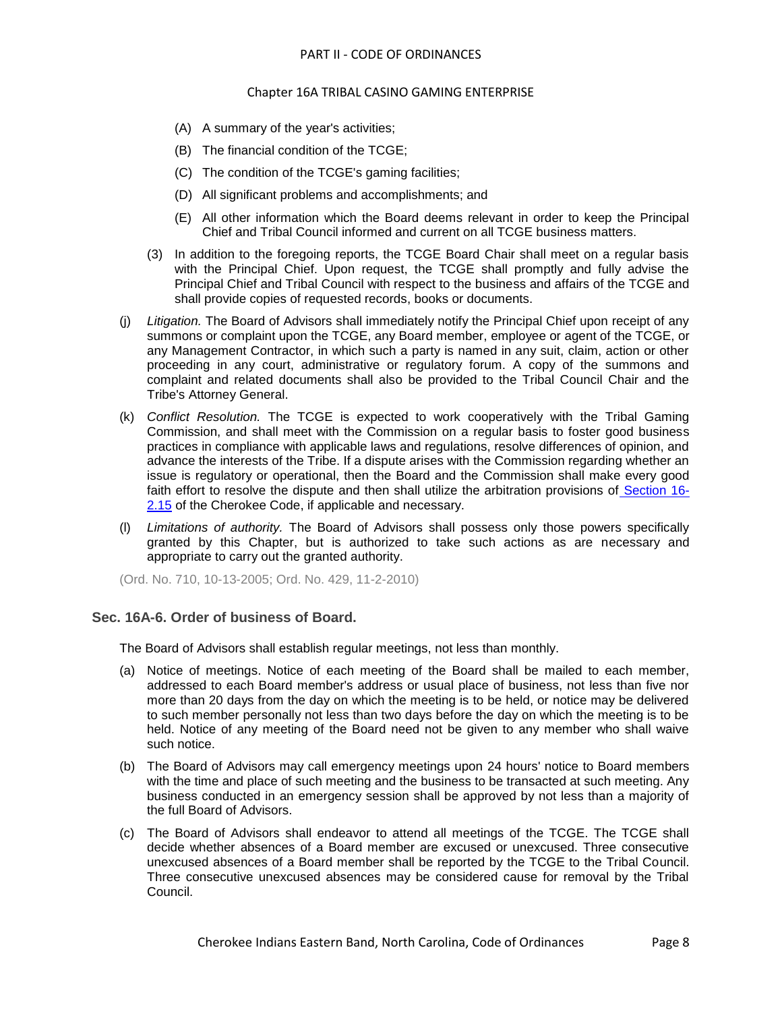- (A) A summary of the year's activities;
- (B) The financial condition of the TCGE;
- (C) The condition of the TCGE's gaming facilities;
- (D) All significant problems and accomplishments; and
- (E) All other information which the Board deems relevant in order to keep the Principal Chief and Tribal Council informed and current on all TCGE business matters.
- (3) In addition to the foregoing reports, the TCGE Board Chair shall meet on a regular basis with the Principal Chief. Upon request, the TCGE shall promptly and fully advise the Principal Chief and Tribal Council with respect to the business and affairs of the TCGE and shall provide copies of requested records, books or documents.
- (j) *Litigation.* The Board of Advisors shall immediately notify the Principal Chief upon receipt of any summons or complaint upon the TCGE, any Board member, employee or agent of the TCGE, or any Management Contractor, in which such a party is named in any suit, claim, action or other proceeding in any court, administrative or regulatory forum. A copy of the summons and complaint and related documents shall also be provided to the Tribal Council Chair and the Tribe's Attorney General.
- (k) *Conflict Resolution.* The TCGE is expected to work cooperatively with the Tribal Gaming Commission, and shall meet with the Commission on a regular basis to foster good business practices in compliance with applicable laws and regulations, resolve differences of opinion, and advance the interests of the Tribe. If a dispute arises with the Commission regarding whether an issue is regulatory or operational, then the Board and the Commission shall make every good faith effort to resolve the dispute and then shall utilize the arbitration provisions of [Section 16-](../level3/PTIICOOR_CH16TRGA_ARTII._TRIBAL_GAMING_COMMISSION.docx#PTIICOOR_CH16TRGA_ARTII._TRIBAL_GAMING_COMMISSION_S16-2.15PRGARURE) [2.15](../level3/PTIICOOR_CH16TRGA_ARTII._TRIBAL_GAMING_COMMISSION.docx#PTIICOOR_CH16TRGA_ARTII._TRIBAL_GAMING_COMMISSION_S16-2.15PRGARURE) of the Cherokee Code, if applicable and necessary.
- (l) *Limitations of authority.* The Board of Advisors shall possess only those powers specifically granted by this Chapter, but is authorized to take such actions as are necessary and appropriate to carry out the granted authority.

(Ord. No. 710, 10-13-2005; Ord. No. 429, 11-2-2010)

# <span id="page-7-0"></span>**Sec. 16A-6. Order of business of Board.**

The Board of Advisors shall establish regular meetings, not less than monthly.

- (a) Notice of meetings. Notice of each meeting of the Board shall be mailed to each member, addressed to each Board member's address or usual place of business, not less than five nor more than 20 days from the day on which the meeting is to be held, or notice may be delivered to such member personally not less than two days before the day on which the meeting is to be held. Notice of any meeting of the Board need not be given to any member who shall waive such notice.
- (b) The Board of Advisors may call emergency meetings upon 24 hours' notice to Board members with the time and place of such meeting and the business to be transacted at such meeting. Any business conducted in an emergency session shall be approved by not less than a majority of the full Board of Advisors.
- (c) The Board of Advisors shall endeavor to attend all meetings of the TCGE. The TCGE shall decide whether absences of a Board member are excused or unexcused. Three consecutive unexcused absences of a Board member shall be reported by the TCGE to the Tribal Council. Three consecutive unexcused absences may be considered cause for removal by the Tribal Council.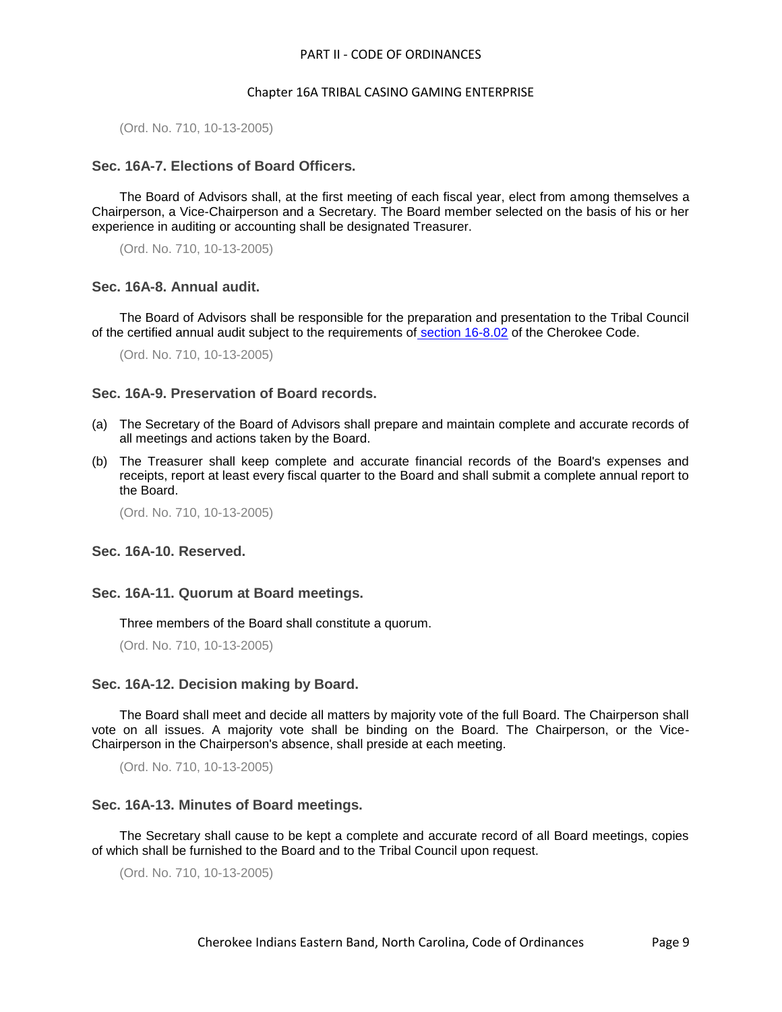(Ord. No. 710, 10-13-2005)

# <span id="page-8-0"></span>**Sec. 16A-7. Elections of Board Officers.**

The Board of Advisors shall, at the first meeting of each fiscal year, elect from among themselves a Chairperson, a Vice-Chairperson and a Secretary. The Board member selected on the basis of his or her experience in auditing or accounting shall be designated Treasurer.

(Ord. No. 710, 10-13-2005)

#### <span id="page-8-1"></span>**Sec. 16A-8. Annual audit.**

The Board of Advisors shall be responsible for the preparation and presentation to the Tribal Council of the certified annual audit subject to the requirements of [section 16-8.02](../level3/PTIICOOR_CH16TRGA_ARTVIIIAUINCO.docx#PTIICOOR_CH16TRGA_ARTVIIIAUINCO_S16-8.02ANINAU) of the Cherokee Code.

(Ord. No. 710, 10-13-2005)

# <span id="page-8-2"></span>**Sec. 16A-9. Preservation of Board records.**

- (a) The Secretary of the Board of Advisors shall prepare and maintain complete and accurate records of all meetings and actions taken by the Board.
- (b) The Treasurer shall keep complete and accurate financial records of the Board's expenses and receipts, report at least every fiscal quarter to the Board and shall submit a complete annual report to the Board.

(Ord. No. 710, 10-13-2005)

### <span id="page-8-3"></span>**Sec. 16A-10. Reserved.**

#### <span id="page-8-4"></span>**Sec. 16A-11. Quorum at Board meetings.**

Three members of the Board shall constitute a quorum.

(Ord. No. 710, 10-13-2005)

#### <span id="page-8-5"></span>**Sec. 16A-12. Decision making by Board.**

The Board shall meet and decide all matters by majority vote of the full Board. The Chairperson shall vote on all issues. A majority vote shall be binding on the Board. The Chairperson, or the Vice-Chairperson in the Chairperson's absence, shall preside at each meeting.

(Ord. No. 710, 10-13-2005)

#### <span id="page-8-6"></span>**Sec. 16A-13. Minutes of Board meetings.**

The Secretary shall cause to be kept a complete and accurate record of all Board meetings, copies of which shall be furnished to the Board and to the Tribal Council upon request.

(Ord. No. 710, 10-13-2005)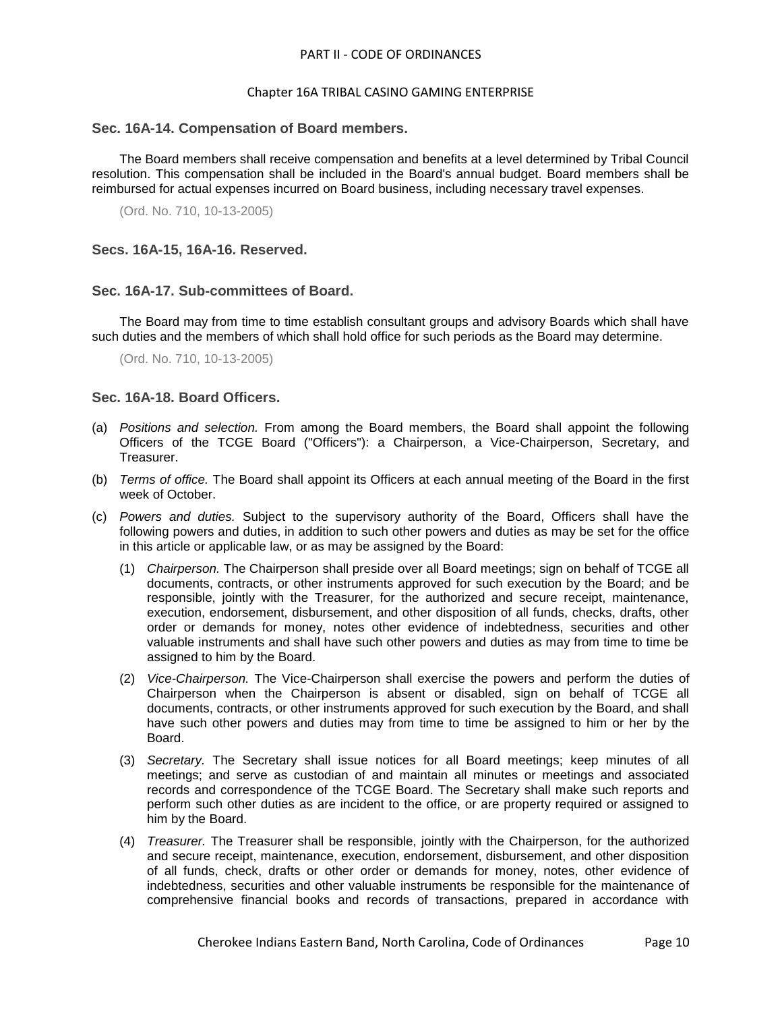# Chapter 16A TRIBAL CASINO GAMING ENTERPRISE

## <span id="page-9-0"></span>**Sec. 16A-14. Compensation of Board members.**

The Board members shall receive compensation and benefits at a level determined by Tribal Council resolution. This compensation shall be included in the Board's annual budget. Board members shall be reimbursed for actual expenses incurred on Board business, including necessary travel expenses.

(Ord. No. 710, 10-13-2005)

<span id="page-9-1"></span>**Secs. 16A-15, 16A-16. Reserved.**

# <span id="page-9-2"></span>**Sec. 16A-17. Sub-committees of Board.**

The Board may from time to time establish consultant groups and advisory Boards which shall have such duties and the members of which shall hold office for such periods as the Board may determine.

(Ord. No. 710, 10-13-2005)

# <span id="page-9-3"></span>**Sec. 16A-18. Board Officers.**

- (a) *Positions and selection.* From among the Board members, the Board shall appoint the following Officers of the TCGE Board ("Officers"): a Chairperson, a Vice-Chairperson, Secretary, and Treasurer.
- (b) *Terms of office.* The Board shall appoint its Officers at each annual meeting of the Board in the first week of October.
- (c) *Powers and duties.* Subject to the supervisory authority of the Board, Officers shall have the following powers and duties, in addition to such other powers and duties as may be set for the office in this article or applicable law, or as may be assigned by the Board:
	- (1) *Chairperson.* The Chairperson shall preside over all Board meetings; sign on behalf of TCGE all documents, contracts, or other instruments approved for such execution by the Board; and be responsible, jointly with the Treasurer, for the authorized and secure receipt, maintenance, execution, endorsement, disbursement, and other disposition of all funds, checks, drafts, other order or demands for money, notes other evidence of indebtedness, securities and other valuable instruments and shall have such other powers and duties as may from time to time be assigned to him by the Board.
	- (2) *Vice-Chairperson.* The Vice-Chairperson shall exercise the powers and perform the duties of Chairperson when the Chairperson is absent or disabled, sign on behalf of TCGE all documents, contracts, or other instruments approved for such execution by the Board, and shall have such other powers and duties may from time to time be assigned to him or her by the Board.
	- (3) *Secretary.* The Secretary shall issue notices for all Board meetings; keep minutes of all meetings; and serve as custodian of and maintain all minutes or meetings and associated records and correspondence of the TCGE Board. The Secretary shall make such reports and perform such other duties as are incident to the office, or are property required or assigned to him by the Board.
	- (4) *Treasurer.* The Treasurer shall be responsible, jointly with the Chairperson, for the authorized and secure receipt, maintenance, execution, endorsement, disbursement, and other disposition of all funds, check, drafts or other order or demands for money, notes, other evidence of indebtedness, securities and other valuable instruments be responsible for the maintenance of comprehensive financial books and records of transactions, prepared in accordance with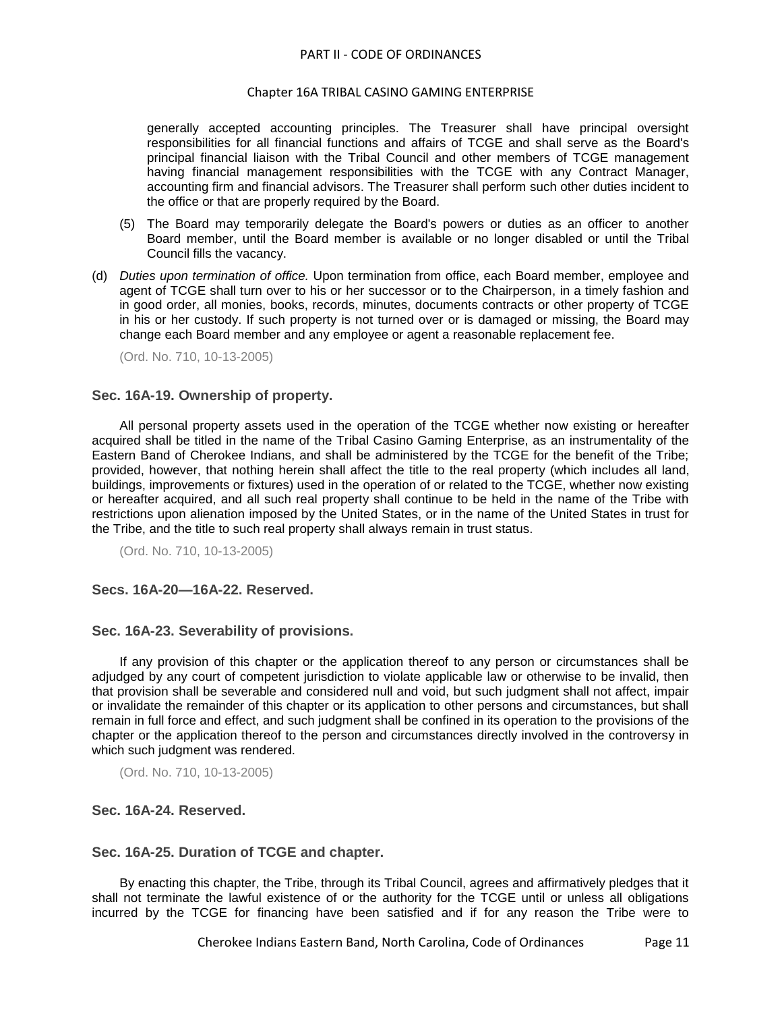#### Chapter 16A TRIBAL CASINO GAMING ENTERPRISE

generally accepted accounting principles. The Treasurer shall have principal oversight responsibilities for all financial functions and affairs of TCGE and shall serve as the Board's principal financial liaison with the Tribal Council and other members of TCGE management having financial management responsibilities with the TCGE with any Contract Manager, accounting firm and financial advisors. The Treasurer shall perform such other duties incident to the office or that are properly required by the Board.

- (5) The Board may temporarily delegate the Board's powers or duties as an officer to another Board member, until the Board member is available or no longer disabled or until the Tribal Council fills the vacancy.
- (d) *Duties upon termination of office.* Upon termination from office, each Board member, employee and agent of TCGE shall turn over to his or her successor or to the Chairperson, in a timely fashion and in good order, all monies, books, records, minutes, documents contracts or other property of TCGE in his or her custody. If such property is not turned over or is damaged or missing, the Board may change each Board member and any employee or agent a reasonable replacement fee.

(Ord. No. 710, 10-13-2005)

# <span id="page-10-0"></span>**Sec. 16A-19. Ownership of property.**

All personal property assets used in the operation of the TCGE whether now existing or hereafter acquired shall be titled in the name of the Tribal Casino Gaming Enterprise, as an instrumentality of the Eastern Band of Cherokee Indians, and shall be administered by the TCGE for the benefit of the Tribe; provided, however, that nothing herein shall affect the title to the real property (which includes all land, buildings, improvements or fixtures) used in the operation of or related to the TCGE, whether now existing or hereafter acquired, and all such real property shall continue to be held in the name of the Tribe with restrictions upon alienation imposed by the United States, or in the name of the United States in trust for the Tribe, and the title to such real property shall always remain in trust status.

(Ord. No. 710, 10-13-2005)

# <span id="page-10-1"></span>**Secs. 16A-20—16A-22. Reserved.**

#### <span id="page-10-2"></span>**Sec. 16A-23. Severability of provisions.**

If any provision of this chapter or the application thereof to any person or circumstances shall be adjudged by any court of competent jurisdiction to violate applicable law or otherwise to be invalid, then that provision shall be severable and considered null and void, but such judgment shall not affect, impair or invalidate the remainder of this chapter or its application to other persons and circumstances, but shall remain in full force and effect, and such judgment shall be confined in its operation to the provisions of the chapter or the application thereof to the person and circumstances directly involved in the controversy in which such judgment was rendered.

(Ord. No. 710, 10-13-2005)

#### <span id="page-10-3"></span>**Sec. 16A-24. Reserved.**

## <span id="page-10-4"></span>**Sec. 16A-25. Duration of TCGE and chapter.**

By enacting this chapter, the Tribe, through its Tribal Council, agrees and affirmatively pledges that it shall not terminate the lawful existence of or the authority for the TCGE until or unless all obligations incurred by the TCGE for financing have been satisfied and if for any reason the Tribe were to